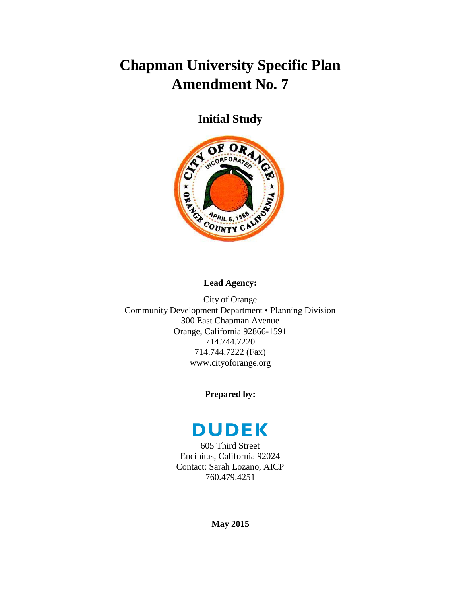## **Chapman University Specific Plan Amendment No. 7**

**Initial Study**



## **Lead Agency:**

City of Orange Community Development Department • Planning Division 300 East Chapman Avenue Orange, California 92866-1591 714.744.7220 714.744.7222 (Fax) www.cityoforange.org

**Prepared by:**



605 Third Street Encinitas, California 92024 Contact: Sarah Lozano, AICP 760.479.4251

**May 2015**